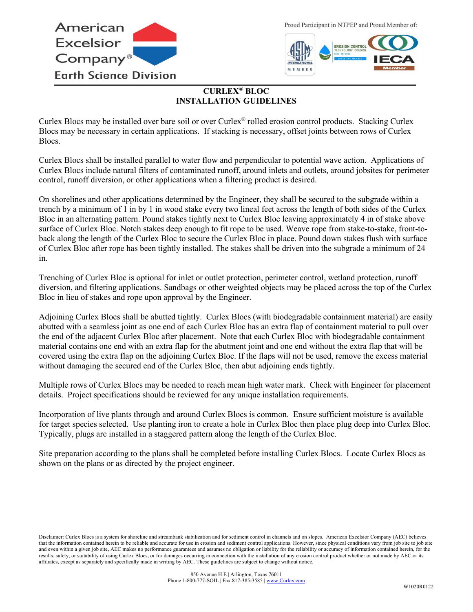

Proud Participant in NTPEP and Proud Member of:



## **CURLEX® BLOC INSTALLATION GUIDELINES**

Curlex Blocs may be installed over bare soil or over Curlex® rolled erosion control products. Stacking Curlex Blocs may be necessary in certain applications. If stacking is necessary, offset joints between rows of Curlex Blocs.

Curlex Blocs shall be installed parallel to water flow and perpendicular to potential wave action. Applications of Curlex Blocs include natural filters of contaminated runoff, around inlets and outlets, around jobsites for perimeter control, runoff diversion, or other applications when a filtering product is desired.

On shorelines and other applications determined by the Engineer, they shall be secured to the subgrade within a trench by a minimum of 1 in by 1 in wood stake every two lineal feet across the length of both sides of the Curlex Bloc in an alternating pattern. Pound stakes tightly next to Curlex Bloc leaving approximately 4 in of stake above surface of Curlex Bloc. Notch stakes deep enough to fit rope to be used. Weave rope from stake-to-stake, front-toback along the length of the Curlex Bloc to secure the Curlex Bloc in place. Pound down stakes flush with surface of Curlex Bloc after rope has been tightly installed. The stakes shall be driven into the subgrade a minimum of 24 in.

Trenching of Curlex Bloc is optional for inlet or outlet protection, perimeter control, wetland protection, runoff diversion, and filtering applications. Sandbags or other weighted objects may be placed across the top of the Curlex Bloc in lieu of stakes and rope upon approval by the Engineer.

Adjoining Curlex Blocs shall be abutted tightly. Curlex Blocs (with biodegradable containment material) are easily abutted with a seamless joint as one end of each Curlex Bloc has an extra flap of containment material to pull over the end of the adjacent Curlex Bloc after placement. Note that each Curlex Bloc with biodegradable containment material contains one end with an extra flap for the abutment joint and one end without the extra flap that will be covered using the extra flap on the adjoining Curlex Bloc. If the flaps will not be used, remove the excess material without damaging the secured end of the Curlex Bloc, then abut adjoining ends tightly.

Multiple rows of Curlex Blocs may be needed to reach mean high water mark. Check with Engineer for placement details. Project specifications should be reviewed for any unique installation requirements.

Incorporation of live plants through and around Curlex Blocs is common. Ensure sufficient moisture is available for target species selected. Use planting iron to create a hole in Curlex Bloc then place plug deep into Curlex Bloc. Typically, plugs are installed in a staggered pattern along the length of the Curlex Bloc.

Site preparation according to the plans shall be completed before installing Curlex Blocs. Locate Curlex Blocs as shown on the plans or as directed by the project engineer.

Disclaimer: Curlex Blocs is a system for shoreline and streambank stabilization and for sediment control in channels and on slopes. American Excelsior Company (AEC) believes that the information contained herein to be reliable and accurate for use in erosion and sediment control applications. However, since physical conditions vary from job site to job site and even within a given job site, AEC makes no performance guarantees and assumes no obligation or liability for the reliability or accuracy of information contained herein, for the results, safety, or suitability of using Curlex Blocs, or for damages occurring in connection with the installation of any erosion control product whether or not made by AEC or its affiliates, except as separately and specifically made in writing by AEC. These guidelines are subject to change without notice.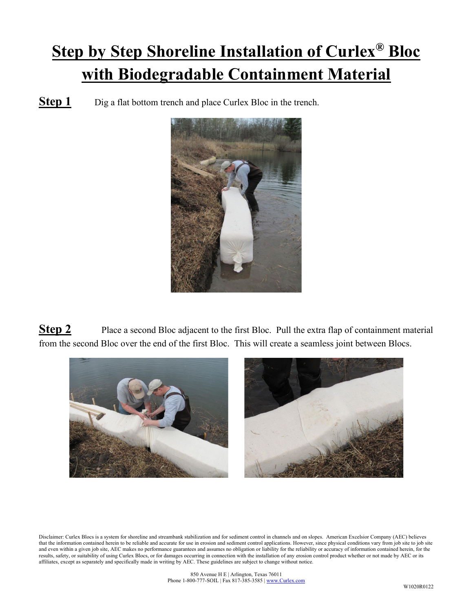## **Step by Step Shoreline Installation of Curlex® Bloc with Biodegradable Containment Material**

**Step 1** Dig a flat bottom trench and place Curlex Bloc in the trench.



**Step 2** Place a second Bloc adjacent to the first Bloc. Pull the extra flap of containment material from the second Bloc over the end of the first Bloc. This will create a seamless joint between Blocs.



Disclaimer: Curlex Blocs is a system for shoreline and streambank stabilization and for sediment control in channels and on slopes. American Excelsior Company (AEC) believes that the information contained herein to be reliable and accurate for use in erosion and sediment control applications. However, since physical conditions vary from job site to job site and even within a given job site, AEC makes no performance guarantees and assumes no obligation or liability for the reliability or accuracy of information contained herein, for the results, safety, or suitability of using Curlex Blocs, or for damages occurring in connection with the installation of any erosion control product whether or not made by AEC or its affiliates, except as separately and specifically made in writing by AEC. These guidelines are subject to change without notice.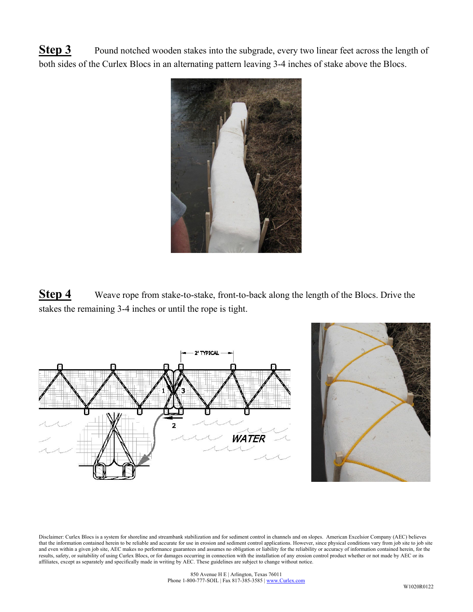**Step 3** Pound notched wooden stakes into the subgrade, every two linear feet across the length of both sides of the Curlex Blocs in an alternating pattern leaving 3-4 inches of stake above the Blocs.



**Step 4** Weave rope from stake-to-stake, front-to-back along the length of the Blocs. Drive the stakes the remaining 3-4 inches or until the rope is tight.



Disclaimer: Curlex Blocs is a system for shoreline and streambank stabilization and for sediment control in channels and on slopes. American Excelsior Company (AEC) believes that the information contained herein to be reliable and accurate for use in erosion and sediment control applications. However, since physical conditions vary from job site to job site and even within a given job site, AEC makes no performance guarantees and assumes no obligation or liability for the reliability or accuracy of information contained herein, for the results, safety, or suitability of using Curlex Blocs, or for damages occurring in connection with the installation of any erosion control product whether or not made by AEC or its affiliates, except as separately and specifically made in writing by AEC. These guidelines are subject to change without notice.